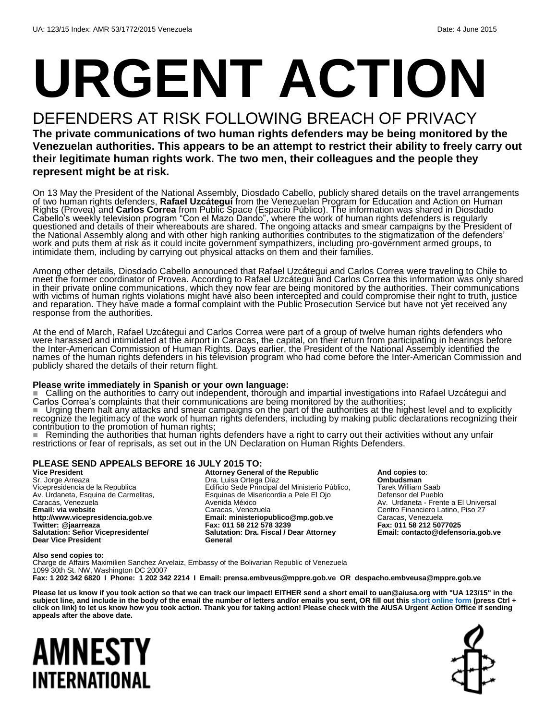# **URGENT ACTION**

## DEFENDERS AT RISK FOLLOWING BREACH OF PRIVACY

**The private communications of two human rights defenders may be being monitored by the Venezuelan authorities. This appears to be an attempt to restrict their ability to freely carry out their legitimate human rights work. The two men, their colleagues and the people they represent might be at risk.**

On 13 May the President of the National Assembly, Diosdado Cabello, publicly shared details on the travel arrangements of two human rights defenders, **Rafael Uzcátegui** from the Venezuelan Program for Education and Action on Human Rights (Provea) and **Carlos Correa** from Public Space (Espacio Público). The information was shared in Diosdado Cabello's weekly television program "Con el Mazo Dando", where the work of human rights defenders is regularly questioned and details of their whereabouts are shared. The ongoing attacks and smear campaigns by the President of the National Assembly along and with other high ranking authorities contributes to the stigmatization of the defenders' work and puts them at risk as it could incite government sympathizers, including pro-government armed groups, to intimidate them, including by carrying out physical attacks on them and their families.

Among other details, Diosdado Cabello announced that Rafael Uzcátegui and Carlos Correa were traveling to Chile to meet the former coordinator of Provea. According to Rafael Uzcátegui and Carlos Correa this information was only shared in their private online communications, which they now fear are being monitored by the authorities. Their communications with victims of human rights violations might have also been intercepted and could compromise their right to truth, justice and reparation. They have made a formal complaint with the Public Prosecution Service but have not yet received any response from the authorities.

At the end of March, Rafael Uzcátegui and Carlos Correa were part of a group of twelve human rights defenders who were harassed and intimidated at the airport in Caracas, the capital, on their return from participating in hearings before the Inter-American Commission of Human Rights. Days earlier, the President of the National Assembly identified the names of the human rights defenders in his television program who had come before the Inter-American Commission and publicly shared the details of their return flight.

#### **Please write immediately in Spanish or your own language:**

 Calling on the authorities to carry out independent, thorough and impartial investigations into Rafael Uzcátegui and Carlos Correa's complaints that their communications are being monitored by the authorities;

■ Urging them halt any attacks and smear campaigns on the part of the authorities at the highest level and to explicitly recogňizĕ the legitimacy of the work of human rightš defenders, including by making public děclarations recognizing their contribution to the promotion of human rights;

■ Reminding the authorities that human rights defenders have a right to carry out their activities without any unfair restrictions or fear of reprisals, as set out in the UN Declaration on Human Rights Defenders.

#### **PLEASE SEND APPEALS BEFORE 16 JULY 2015 TO:**

**Vice President** Sr. Jorge Arreaza Vicepresidencia de la Republica Av. Urdaneta, Esquina de Carmelitas, Caracas, Venezuela **Email: via website http://www.vicepresidencia.gob.ve Twitter: @jaarreaza Salutation: Señor Vicepresidente/ Dear Vice President**

**Attorney General of the Republic** Dra. Luisa Ortega Díaz Edificio Sede Principal del Ministerio Público, Esquinas de Misericordia a Pele El Ojo Avenida México Caracas, Venezuela **Email: ministeriopublico@mp.gob.ve Fax: 011 58 212 578 3239 Salutation: Dra. Fiscal / Dear Attorney General**

**And copies to**: **Ombudsman** Tarek William Saab Defensor del Pueblo Av. Urdaneta - Frente a El Universal Centro Financiero Latino, Piso 27 Caracas, Venezuela **Fax: 011 58 212 5077025 Email: contacto@defensoria.gob.ve**

#### **Also send copies to:**

Charge de Affairs Maximilien Sanchez Arvelaiz, Embassy of the Bolivarian Republic of Venezuela 1099 30th St. NW, Washington DC 20007 **Fax: 1 202 342 6820 I Phone: 1 202 342 2214 I Email: prensa.embveus@mppre.gob.ve OR despacho.embveusa@mppre.gob.ve**

**Please let us know if you took action so that we can track our impact! EITHER send a short email to uan@aiusa.org with "UA 123/15" in the**  subject line, and include in the body of the email the number of letters and/or emails you sent, OR fill out thi[s short online form](https://www.surveymonkey.com/s/8NKFNFN) (press Ctrl + **click on link) to let us know how you took action. Thank you for taking action! Please check with the AIUSA Urgent Action Office if sending appeals after the above date.**

## AMNESTY INTERNATIONAL